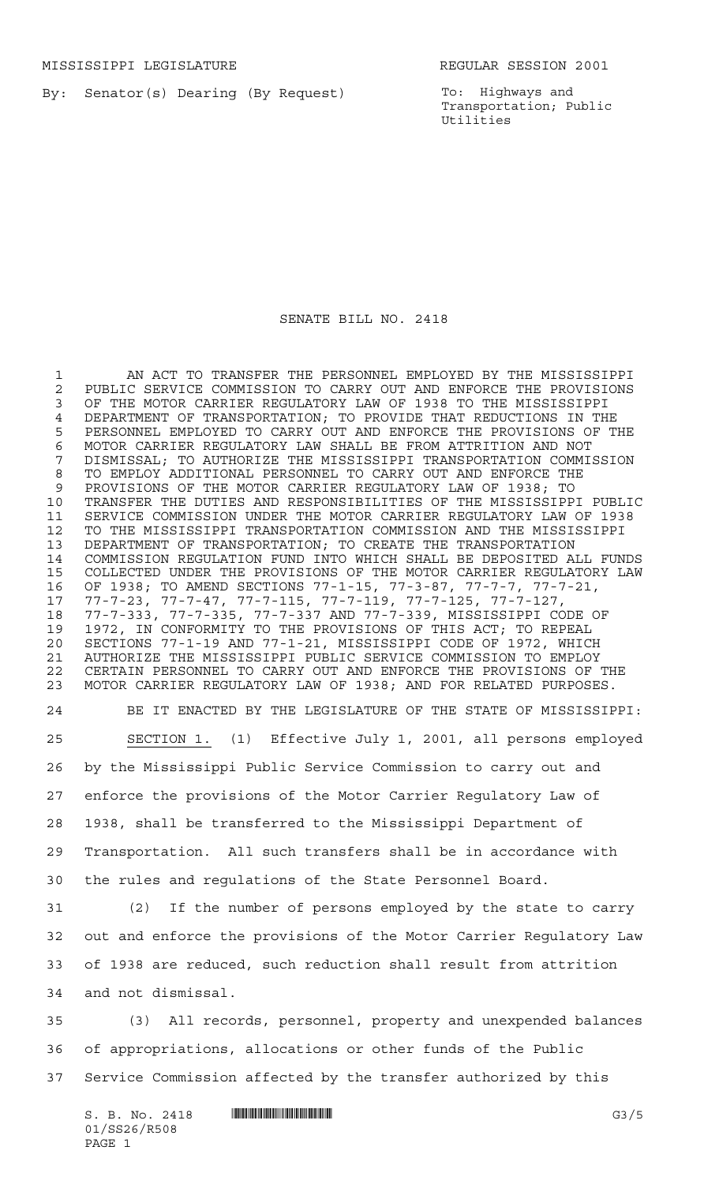By: Senator(s) Dearing (By Request)

To: Highways and Transportation; Public Utilities

## SENATE BILL NO. 2418

 AN ACT TO TRANSFER THE PERSONNEL EMPLOYED BY THE MISSISSIPPI 2 PUBLIC SERVICE COMMISSION TO CARRY OUT AND ENFORCE THE PROVISIONS<br>3 OF THE MOTOR CARRIER REGULATORY LAW OF 1938 TO THE MISSISSIPPI OF THE MOTOR CARRIER REGULATORY LAW OF 1938 TO THE MISSISSIPPI 4 DEPARTMENT OF TRANSPORTATION; TO PROVIDE THAT REDUCTIONS IN THE<br>5 PERSONNEL EMPLOYED TO CARRY OUT AND ENFORCE THE PROVISIONS OF T PERSONNEL EMPLOYED TO CARRY OUT AND ENFORCE THE PROVISIONS OF THE 6 MOTOR CARRIER REGULATORY LAW SHALL BE FROM ATTRITION AND NOT<br>7 DISMISSAL; TO AUTHORIZE THE MISSISSIPPI TRANSPORTATION COMMI DISMISSAL; TO AUTHORIZE THE MISSISSIPPI TRANSPORTATION COMMISSION TO EMPLOY ADDITIONAL PERSONNEL TO CARRY OUT AND ENFORCE THE PROVISIONS OF THE MOTOR CARRIER REGULATORY LAW OF 1938; TO TRANSFER THE DUTIES AND RESPONSIBILITIES OF THE MISSISSIPPI PUBLIC SERVICE COMMISSION UNDER THE MOTOR CARRIER REGULATORY LAW OF 1938 TO THE MISSISSIPPI TRANSPORTATION COMMISSION AND THE MISSISSIPPI DEPARTMENT OF TRANSPORTATION; TO CREATE THE TRANSPORTATION COMMISSION REGULATION FUND INTO WHICH SHALL BE DEPOSITED ALL FUNDS COLLECTED UNDER THE PROVISIONS OF THE MOTOR CARRIER REGULATORY LAW OF 1938; TO AMEND SECTIONS 77-1-15, 77-3-87, 77-7-7, 77-7-21, 77-7-23, 77-7-47, 77-7-115, 77-7-119, 77-7-125, 77-7-127, 77-7-333, 77-7-335, 77-7-337 AND 77-7-339, MISSISSIPPI CODE OF 1972, IN CONFORMITY TO THE PROVISIONS OF THIS ACT; TO REPEAL SECTIONS 77-1-19 AND 77-1-21, MISSISSIPPI CODE OF 1972, WHICH AUTHORIZE THE MISSISSIPPI PUBLIC SERVICE COMMISSION TO EMPLOY CERTAIN PERSONNEL TO CARRY OUT AND ENFORCE THE PROVISIONS OF THE MOTOR CARRIER REGULATORY LAW OF 1938; AND FOR RELATED PURPOSES. BE IT ENACTED BY THE LEGISLATURE OF THE STATE OF MISSISSIPPI: SECTION 1. (1) Effective July 1, 2001, all persons employed by the Mississippi Public Service Commission to carry out and enforce the provisions of the Motor Carrier Regulatory Law of 1938, shall be transferred to the Mississippi Department of Transportation. All such transfers shall be in accordance with the rules and regulations of the State Personnel Board. (2) If the number of persons employed by the state to carry out and enforce the provisions of the Motor Carrier Regulatory Law of 1938 are reduced, such reduction shall result from attrition and not dismissal. (3) All records, personnel, property and unexpended balances of appropriations, allocations or other funds of the Public Service Commission affected by the transfer authorized by this

 $S. B. No. 2418$  **INNIFICALLY** G3/5 01/SS26/R508 PAGE 1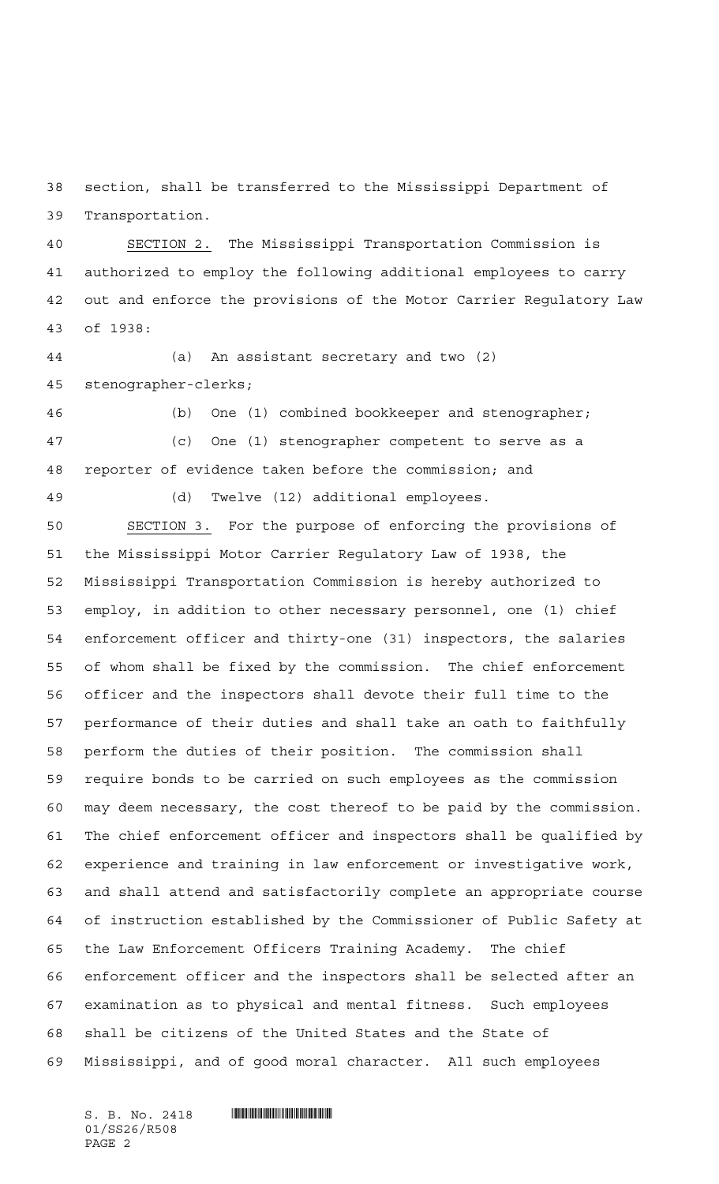section, shall be transferred to the Mississippi Department of Transportation.

 SECTION 2. The Mississippi Transportation Commission is authorized to employ the following additional employees to carry out and enforce the provisions of the Motor Carrier Regulatory Law of 1938:

 (a) An assistant secretary and two (2) stenographer-clerks;

 (b) One (1) combined bookkeeper and stenographer; (c) One (1) stenographer competent to serve as a reporter of evidence taken before the commission; and

(d) Twelve (12) additional employees.

 SECTION 3. For the purpose of enforcing the provisions of the Mississippi Motor Carrier Regulatory Law of 1938, the Mississippi Transportation Commission is hereby authorized to employ, in addition to other necessary personnel, one (1) chief enforcement officer and thirty-one (31) inspectors, the salaries of whom shall be fixed by the commission. The chief enforcement officer and the inspectors shall devote their full time to the performance of their duties and shall take an oath to faithfully perform the duties of their position. The commission shall require bonds to be carried on such employees as the commission may deem necessary, the cost thereof to be paid by the commission. The chief enforcement officer and inspectors shall be qualified by experience and training in law enforcement or investigative work, and shall attend and satisfactorily complete an appropriate course of instruction established by the Commissioner of Public Safety at the Law Enforcement Officers Training Academy. The chief enforcement officer and the inspectors shall be selected after an examination as to physical and mental fitness. Such employees shall be citizens of the United States and the State of Mississippi, and of good moral character. All such employees

01/SS26/R508 PAGE 2

 $S. B. No. 2418$  . The set of  $\mathbb S$  and  $\mathbb S$  and  $\mathbb S$  and  $\mathbb S$  and  $\mathbb S$  and  $\mathbb S$  and  $\mathbb S$  and  $\mathbb S$  and  $\mathbb S$  and  $\mathbb S$  and  $\mathbb S$  and  $\mathbb S$  and  $\mathbb S$  and  $\mathbb S$  and  $\mathbb S$  and  $\mathbb S$  and  $\mathbb S$  and  $\mathbb S$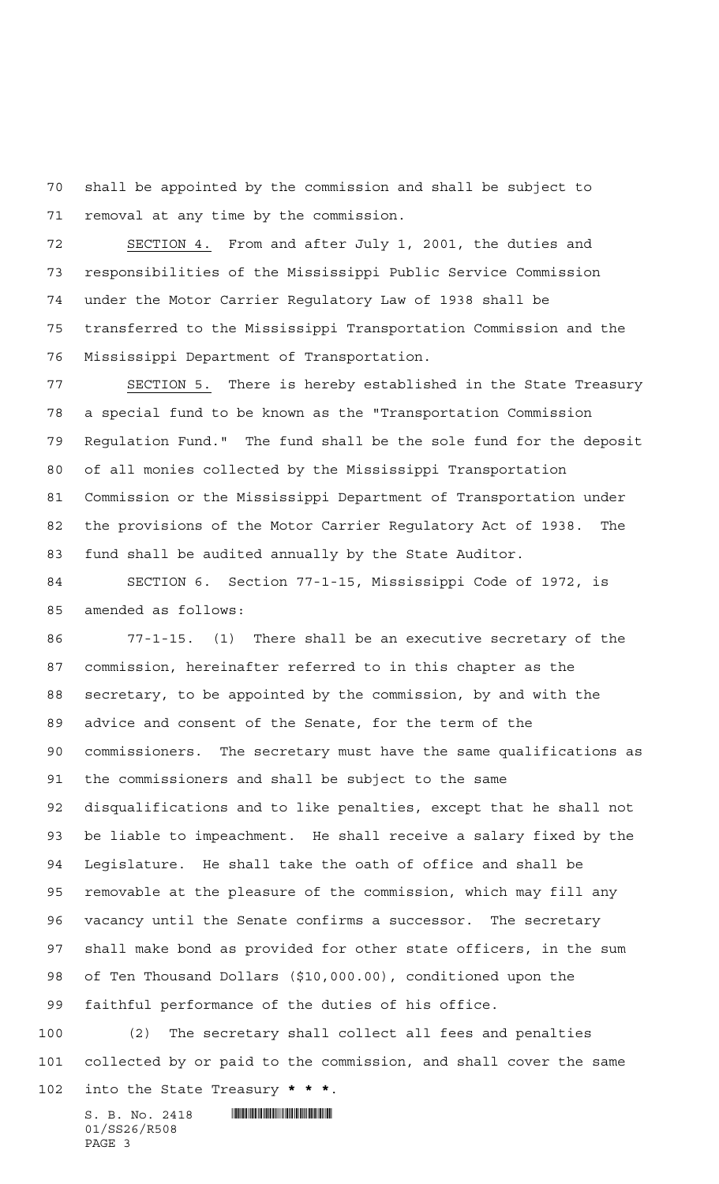shall be appointed by the commission and shall be subject to removal at any time by the commission.

 SECTION 4. From and after July 1, 2001, the duties and responsibilities of the Mississippi Public Service Commission under the Motor Carrier Regulatory Law of 1938 shall be transferred to the Mississippi Transportation Commission and the Mississippi Department of Transportation.

 SECTION 5. There is hereby established in the State Treasury a special fund to be known as the "Transportation Commission Regulation Fund." The fund shall be the sole fund for the deposit of all monies collected by the Mississippi Transportation Commission or the Mississippi Department of Transportation under the provisions of the Motor Carrier Regulatory Act of 1938. The fund shall be audited annually by the State Auditor.

 SECTION 6. Section 77-1-15, Mississippi Code of 1972, is amended as follows:

 77-1-15. (1) There shall be an executive secretary of the commission, hereinafter referred to in this chapter as the secretary, to be appointed by the commission, by and with the advice and consent of the Senate, for the term of the commissioners. The secretary must have the same qualifications as the commissioners and shall be subject to the same disqualifications and to like penalties, except that he shall not be liable to impeachment. He shall receive a salary fixed by the Legislature. He shall take the oath of office and shall be removable at the pleasure of the commission, which may fill any vacancy until the Senate confirms a successor. The secretary shall make bond as provided for other state officers, in the sum of Ten Thousand Dollars (\$10,000.00), conditioned upon the faithful performance of the duties of his office.

 (2) The secretary shall collect all fees and penalties collected by or paid to the commission, and shall cover the same into the State Treasury **\*\*\***.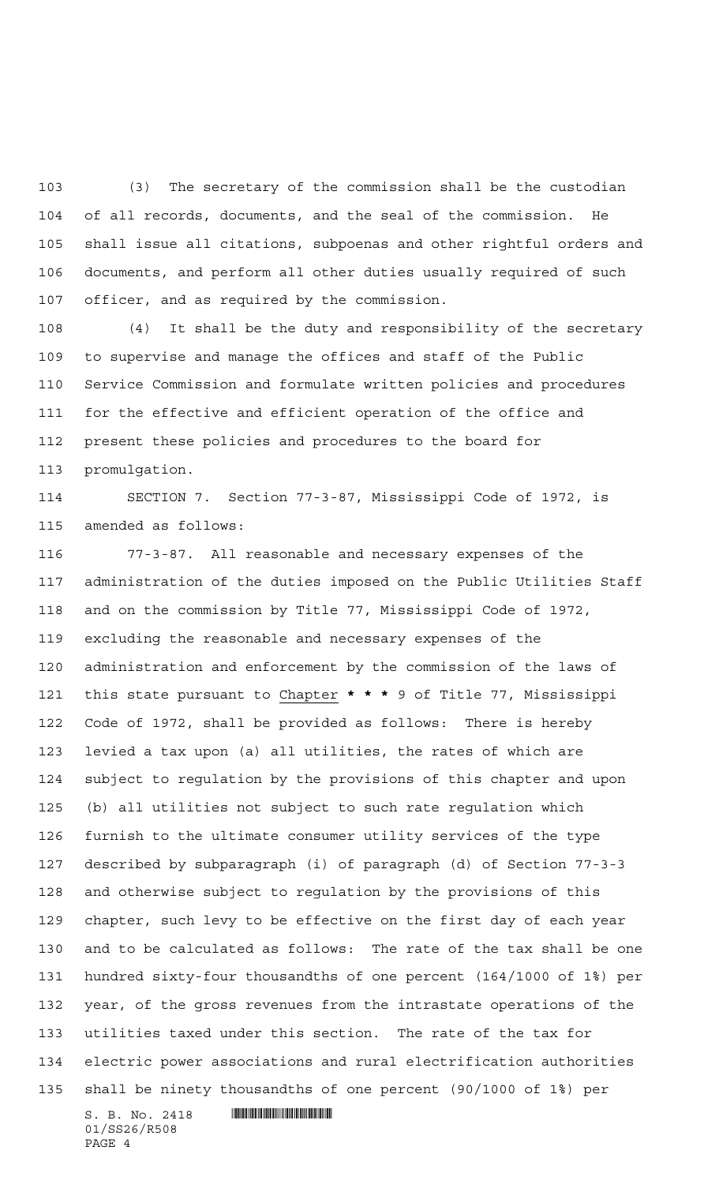(3) The secretary of the commission shall be the custodian of all records, documents, and the seal of the commission. He shall issue all citations, subpoenas and other rightful orders and documents, and perform all other duties usually required of such officer, and as required by the commission.

 (4) It shall be the duty and responsibility of the secretary to supervise and manage the offices and staff of the Public Service Commission and formulate written policies and procedures for the effective and efficient operation of the office and present these policies and procedures to the board for promulgation.

 SECTION 7. Section 77-3-87, Mississippi Code of 1972, is amended as follows:

 77-3-87. All reasonable and necessary expenses of the administration of the duties imposed on the Public Utilities Staff and on the commission by Title 77, Mississippi Code of 1972, excluding the reasonable and necessary expenses of the administration and enforcement by the commission of the laws of this state pursuant to Chapter **\*\*\*** 9 of Title 77, Mississippi Code of 1972, shall be provided as follows: There is hereby levied a tax upon (a) all utilities, the rates of which are subject to regulation by the provisions of this chapter and upon (b) all utilities not subject to such rate regulation which furnish to the ultimate consumer utility services of the type described by subparagraph (i) of paragraph (d) of Section 77-3-3 and otherwise subject to regulation by the provisions of this chapter, such levy to be effective on the first day of each year and to be calculated as follows: The rate of the tax shall be one hundred sixty-four thousandths of one percent (164/1000 of 1%) per year, of the gross revenues from the intrastate operations of the utilities taxed under this section. The rate of the tax for electric power associations and rural electrification authorities shall be ninety thousandths of one percent (90/1000 of 1%) per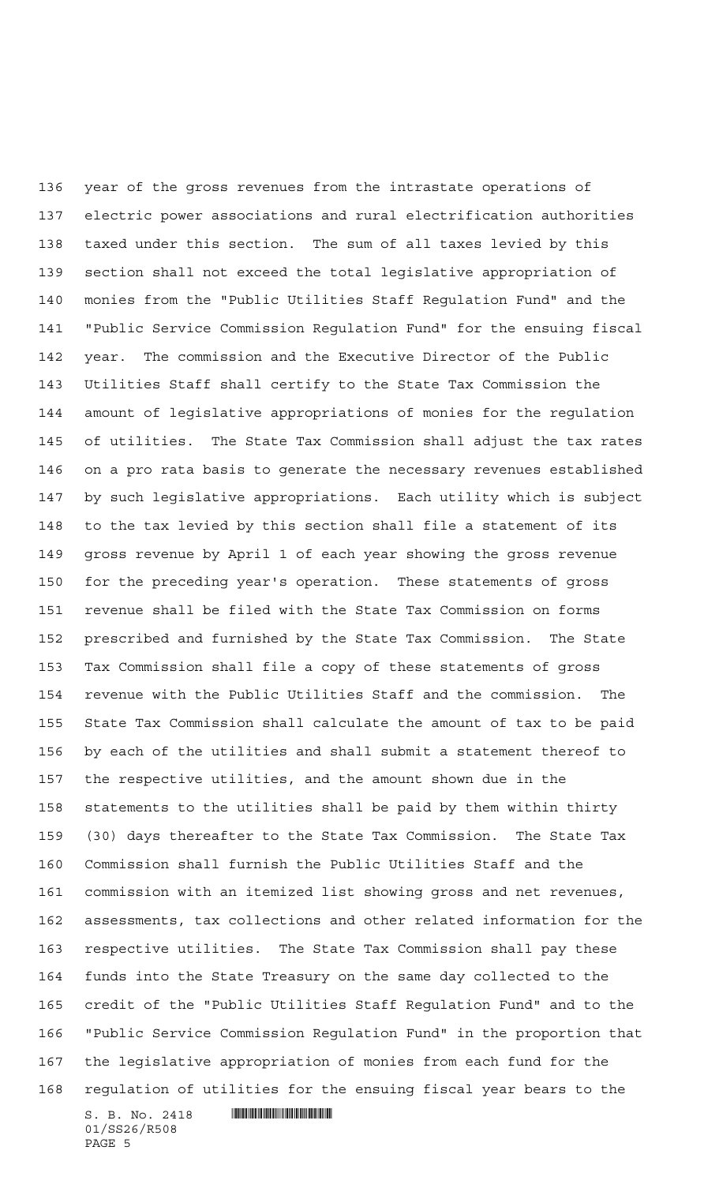year of the gross revenues from the intrastate operations of electric power associations and rural electrification authorities taxed under this section. The sum of all taxes levied by this section shall not exceed the total legislative appropriation of monies from the "Public Utilities Staff Regulation Fund" and the "Public Service Commission Regulation Fund" for the ensuing fiscal year. The commission and the Executive Director of the Public Utilities Staff shall certify to the State Tax Commission the amount of legislative appropriations of monies for the regulation of utilities. The State Tax Commission shall adjust the tax rates on a pro rata basis to generate the necessary revenues established by such legislative appropriations. Each utility which is subject to the tax levied by this section shall file a statement of its gross revenue by April 1 of each year showing the gross revenue for the preceding year's operation. These statements of gross revenue shall be filed with the State Tax Commission on forms prescribed and furnished by the State Tax Commission. The State Tax Commission shall file a copy of these statements of gross revenue with the Public Utilities Staff and the commission. The State Tax Commission shall calculate the amount of tax to be paid by each of the utilities and shall submit a statement thereof to the respective utilities, and the amount shown due in the statements to the utilities shall be paid by them within thirty (30) days thereafter to the State Tax Commission. The State Tax Commission shall furnish the Public Utilities Staff and the commission with an itemized list showing gross and net revenues, assessments, tax collections and other related information for the respective utilities. The State Tax Commission shall pay these funds into the State Treasury on the same day collected to the credit of the "Public Utilities Staff Regulation Fund" and to the "Public Service Commission Regulation Fund" in the proportion that the legislative appropriation of monies from each fund for the regulation of utilities for the ensuing fiscal year bears to the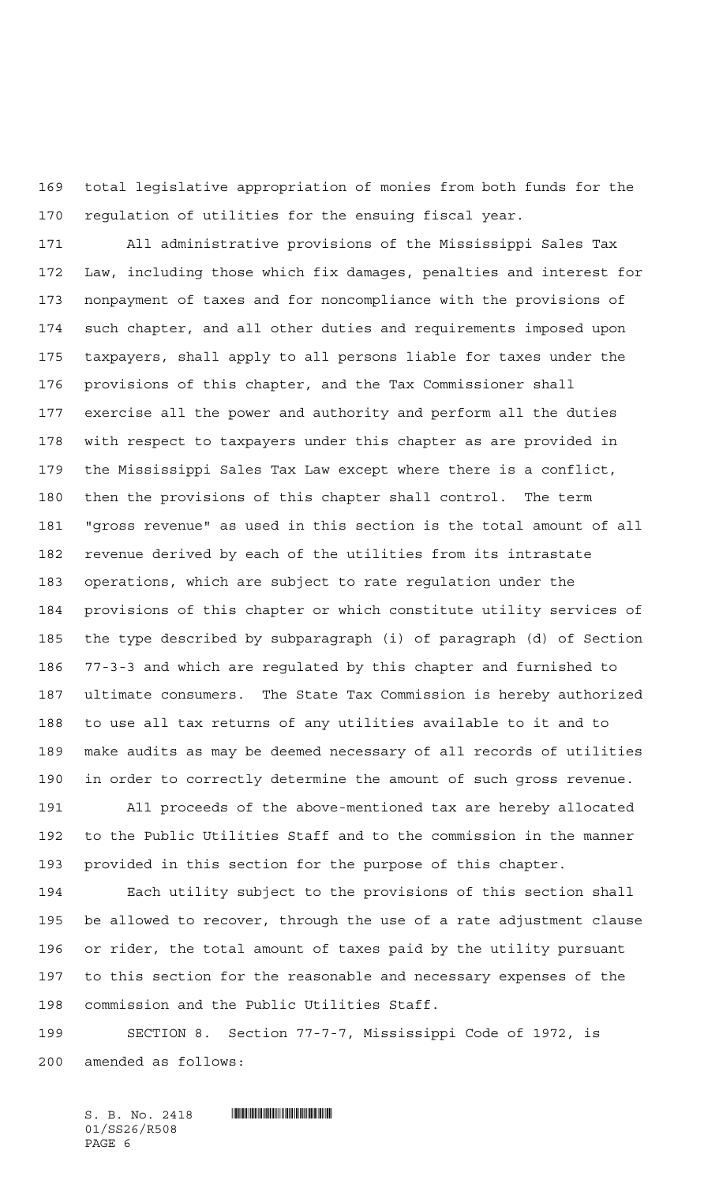total legislative appropriation of monies from both funds for the regulation of utilities for the ensuing fiscal year.

 All administrative provisions of the Mississippi Sales Tax Law, including those which fix damages, penalties and interest for nonpayment of taxes and for noncompliance with the provisions of such chapter, and all other duties and requirements imposed upon taxpayers, shall apply to all persons liable for taxes under the provisions of this chapter, and the Tax Commissioner shall exercise all the power and authority and perform all the duties with respect to taxpayers under this chapter as are provided in the Mississippi Sales Tax Law except where there is a conflict, then the provisions of this chapter shall control. The term "gross revenue" as used in this section is the total amount of all revenue derived by each of the utilities from its intrastate operations, which are subject to rate regulation under the provisions of this chapter or which constitute utility services of the type described by subparagraph (i) of paragraph (d) of Section 77-3-3 and which are regulated by this chapter and furnished to ultimate consumers. The State Tax Commission is hereby authorized to use all tax returns of any utilities available to it and to make audits as may be deemed necessary of all records of utilities in order to correctly determine the amount of such gross revenue.

 All proceeds of the above-mentioned tax are hereby allocated to the Public Utilities Staff and to the commission in the manner provided in this section for the purpose of this chapter.

 Each utility subject to the provisions of this section shall be allowed to recover, through the use of a rate adjustment clause or rider, the total amount of taxes paid by the utility pursuant to this section for the reasonable and necessary expenses of the commission and the Public Utilities Staff.

 SECTION 8. Section 77-7-7, Mississippi Code of 1972, is amended as follows:

 $S. B. No. 2418$  . Suppose the set of  $S. B. N \circ A. 2418$ 01/SS26/R508 PAGE 6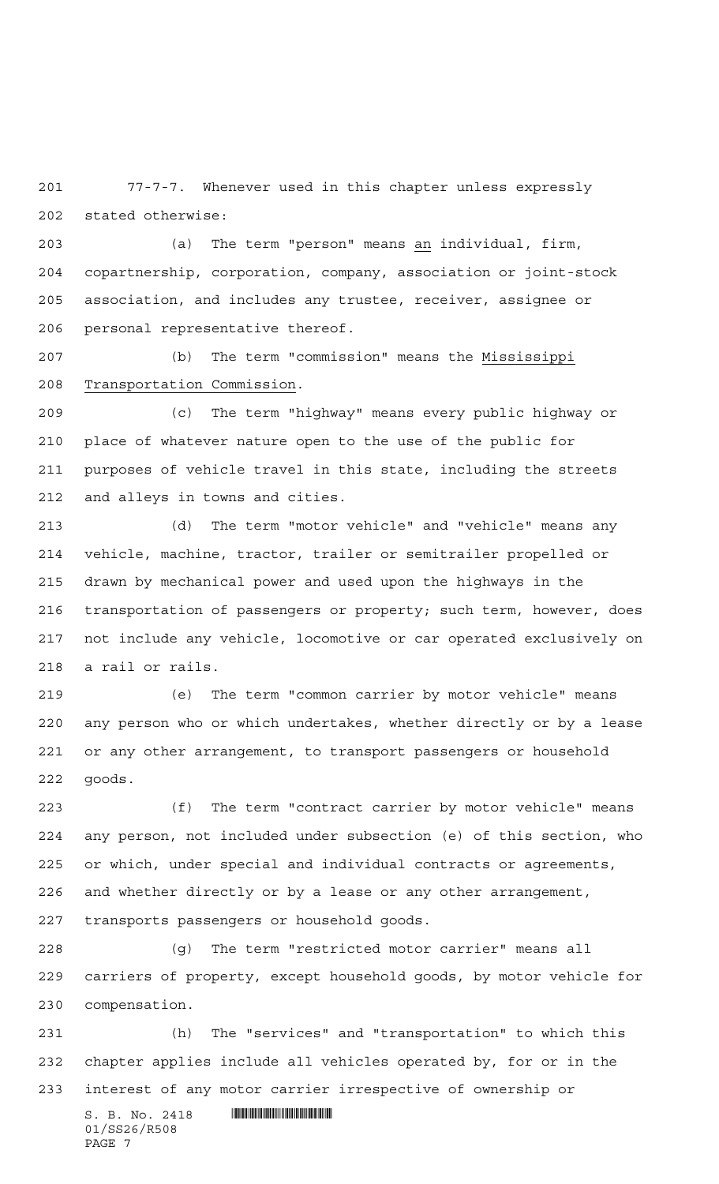77-7-7. Whenever used in this chapter unless expressly stated otherwise:

 (a) The term "person" means an individual, firm, copartnership, corporation, company, association or joint-stock association, and includes any trustee, receiver, assignee or personal representative thereof.

 (b) The term "commission" means the Mississippi Transportation Commission.

 (c) The term "highway" means every public highway or place of whatever nature open to the use of the public for purposes of vehicle travel in this state, including the streets and alleys in towns and cities.

 (d) The term "motor vehicle" and "vehicle" means any vehicle, machine, tractor, trailer or semitrailer propelled or drawn by mechanical power and used upon the highways in the transportation of passengers or property; such term, however, does not include any vehicle, locomotive or car operated exclusively on a rail or rails.

 (e) The term "common carrier by motor vehicle" means any person who or which undertakes, whether directly or by a lease or any other arrangement, to transport passengers or household goods.

 (f) The term "contract carrier by motor vehicle" means any person, not included under subsection (e) of this section, who or which, under special and individual contracts or agreements, and whether directly or by a lease or any other arrangement, transports passengers or household goods.

 (g) The term "restricted motor carrier" means all carriers of property, except household goods, by motor vehicle for compensation.

 (h) The "services" and "transportation" to which this chapter applies include all vehicles operated by, for or in the interest of any motor carrier irrespective of ownership or

 $S. B. No. 2418$  . The set of  $\mathbb{R}$  of  $\mathbb{R}$  substitution of  $S. B. N_{\mathbb{R}}$ 01/SS26/R508 PAGE 7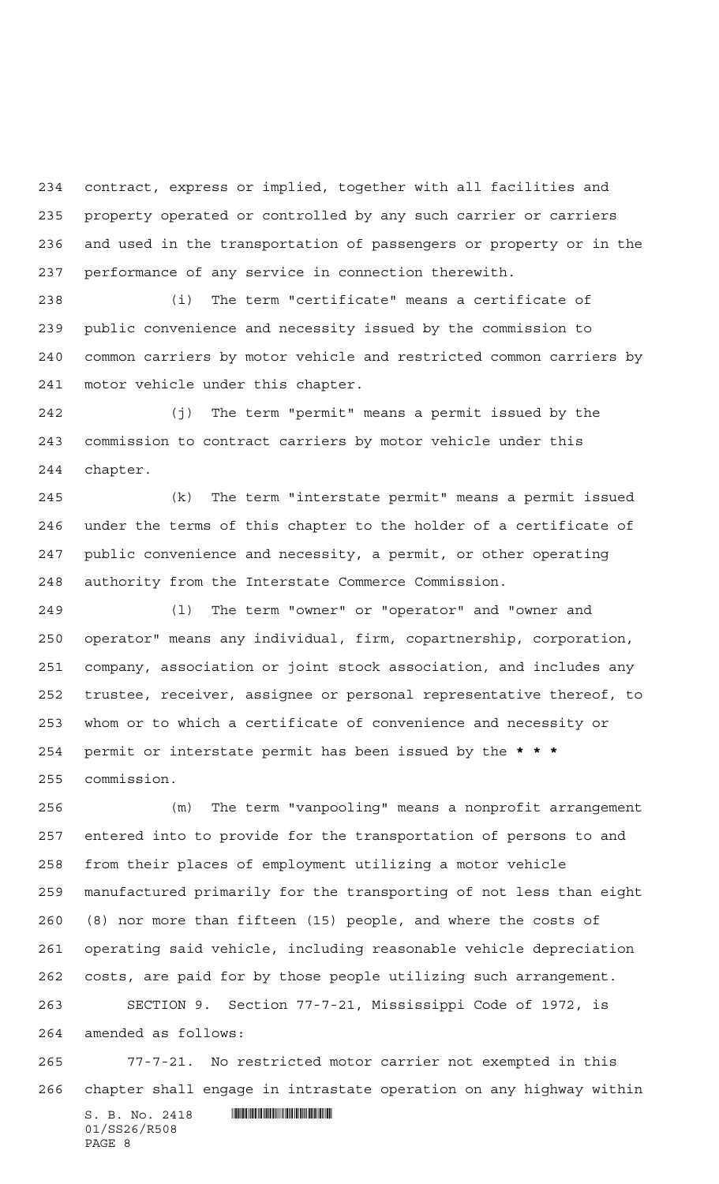contract, express or implied, together with all facilities and property operated or controlled by any such carrier or carriers and used in the transportation of passengers or property or in the performance of any service in connection therewith.

 (i) The term "certificate" means a certificate of public convenience and necessity issued by the commission to common carriers by motor vehicle and restricted common carriers by motor vehicle under this chapter.

 (j) The term "permit" means a permit issued by the commission to contract carriers by motor vehicle under this chapter.

 (k) The term "interstate permit" means a permit issued under the terms of this chapter to the holder of a certificate of public convenience and necessity, a permit, or other operating authority from the Interstate Commerce Commission.

 (l) The term "owner" or "operator" and "owner and operator" means any individual, firm, copartnership, corporation, company, association or joint stock association, and includes any trustee, receiver, assignee or personal representative thereof, to whom or to which a certificate of convenience and necessity or permit or interstate permit has been issued by the **\*\*\*** commission.

 (m) The term "vanpooling" means a nonprofit arrangement entered into to provide for the transportation of persons to and from their places of employment utilizing a motor vehicle manufactured primarily for the transporting of not less than eight (8) nor more than fifteen (15) people, and where the costs of operating said vehicle, including reasonable vehicle depreciation costs, are paid for by those people utilizing such arrangement. SECTION 9. Section 77-7-21, Mississippi Code of 1972, is amended as follows:

 77-7-21. No restricted motor carrier not exempted in this chapter shall engage in intrastate operation on any highway within

 $S. B. No. 2418$  . So and the set of  $R$ 01/SS26/R508 PAGE 8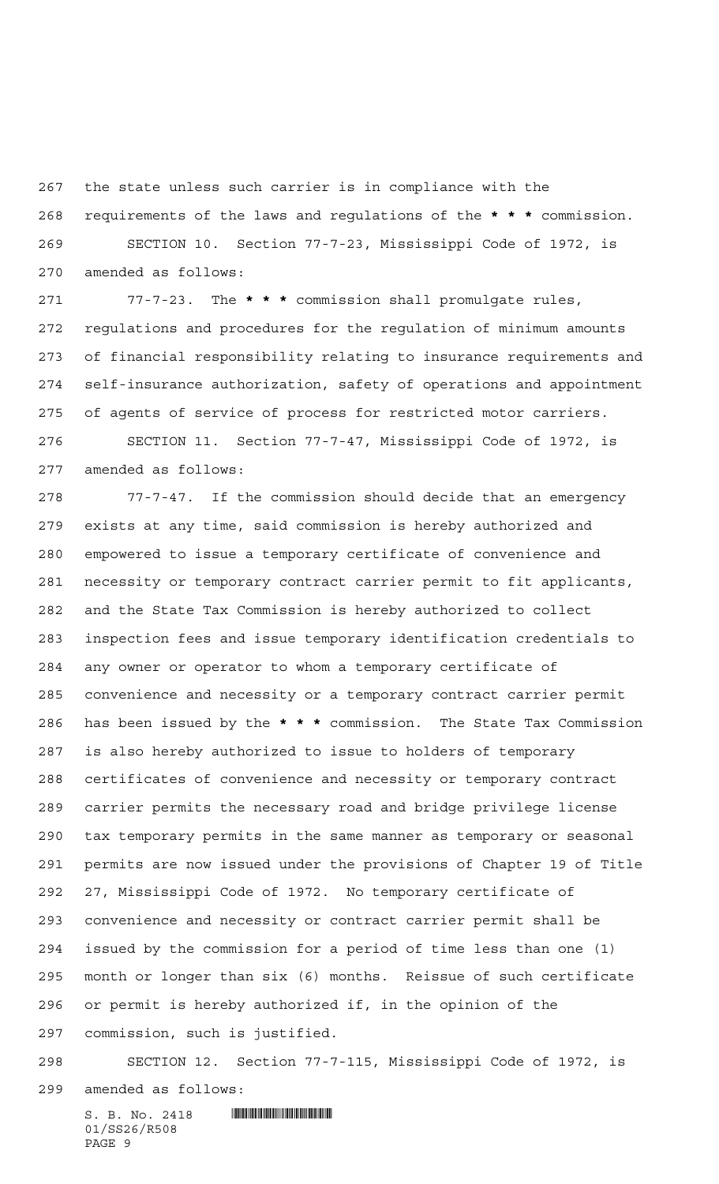the state unless such carrier is in compliance with the

 requirements of the laws and regulations of the **\*\*\*** commission. SECTION 10. Section 77-7-23, Mississippi Code of 1972, is amended as follows:

 77-7-23. The **\*\*\*** commission shall promulgate rules, regulations and procedures for the regulation of minimum amounts of financial responsibility relating to insurance requirements and self-insurance authorization, safety of operations and appointment of agents of service of process for restricted motor carriers. SECTION 11. Section 77-7-47, Mississippi Code of 1972, is

amended as follows:

 77-7-47. If the commission should decide that an emergency exists at any time, said commission is hereby authorized and empowered to issue a temporary certificate of convenience and necessity or temporary contract carrier permit to fit applicants, and the State Tax Commission is hereby authorized to collect inspection fees and issue temporary identification credentials to any owner or operator to whom a temporary certificate of convenience and necessity or a temporary contract carrier permit has been issued by the **\*\*\*** commission. The State Tax Commission is also hereby authorized to issue to holders of temporary certificates of convenience and necessity or temporary contract carrier permits the necessary road and bridge privilege license tax temporary permits in the same manner as temporary or seasonal permits are now issued under the provisions of Chapter 19 of Title 27, Mississippi Code of 1972. No temporary certificate of convenience and necessity or contract carrier permit shall be issued by the commission for a period of time less than one (1) month or longer than six (6) months. Reissue of such certificate or permit is hereby authorized if, in the opinion of the commission, such is justified.

 SECTION 12. Section 77-7-115, Mississippi Code of 1972, is amended as follows:

 $S. B. No. 2418$  . Similar and the set of  $R$ 01/SS26/R508 PAGE 9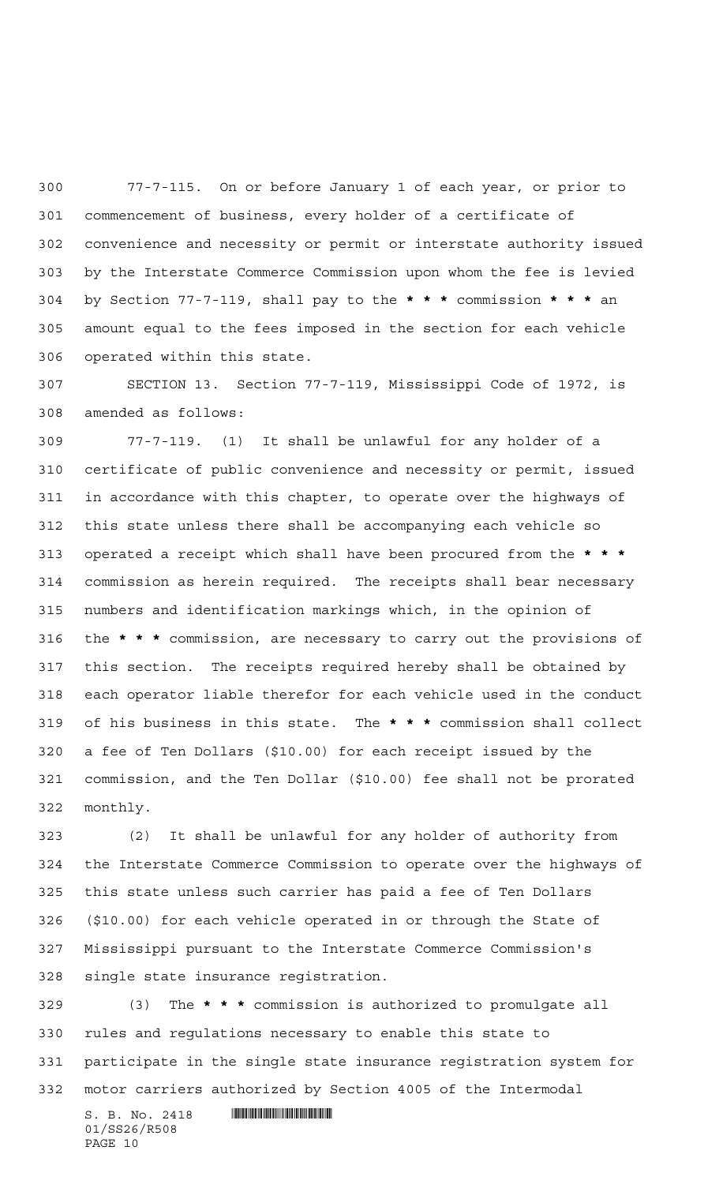77-7-115. On or before January 1 of each year, or prior to commencement of business, every holder of a certificate of convenience and necessity or permit or interstate authority issued by the Interstate Commerce Commission upon whom the fee is levied by Section 77-7-119, shall pay to the **\*\*\*** commission **\*\*\*** an amount equal to the fees imposed in the section for each vehicle operated within this state.

 SECTION 13. Section 77-7-119, Mississippi Code of 1972, is amended as follows:

 77-7-119. (1) It shall be unlawful for any holder of a certificate of public convenience and necessity or permit, issued in accordance with this chapter, to operate over the highways of this state unless there shall be accompanying each vehicle so operated a receipt which shall have been procured from the **\*\*\*** commission as herein required. The receipts shall bear necessary numbers and identification markings which, in the opinion of the **\*\*\*** commission, are necessary to carry out the provisions of this section. The receipts required hereby shall be obtained by each operator liable therefor for each vehicle used in the conduct of his business in this state. The **\*\*\*** commission shall collect a fee of Ten Dollars (\$10.00) for each receipt issued by the commission, and the Ten Dollar (\$10.00) fee shall not be prorated monthly.

 (2) It shall be unlawful for any holder of authority from the Interstate Commerce Commission to operate over the highways of this state unless such carrier has paid a fee of Ten Dollars (\$10.00) for each vehicle operated in or through the State of Mississippi pursuant to the Interstate Commerce Commission's single state insurance registration.

 (3) The **\*\*\*** commission is authorized to promulgate all rules and regulations necessary to enable this state to participate in the single state insurance registration system for motor carriers authorized by Section 4005 of the Intermodal

 $S. B. No. 2418$  . So and the set of  $R$ 01/SS26/R508 PAGE 10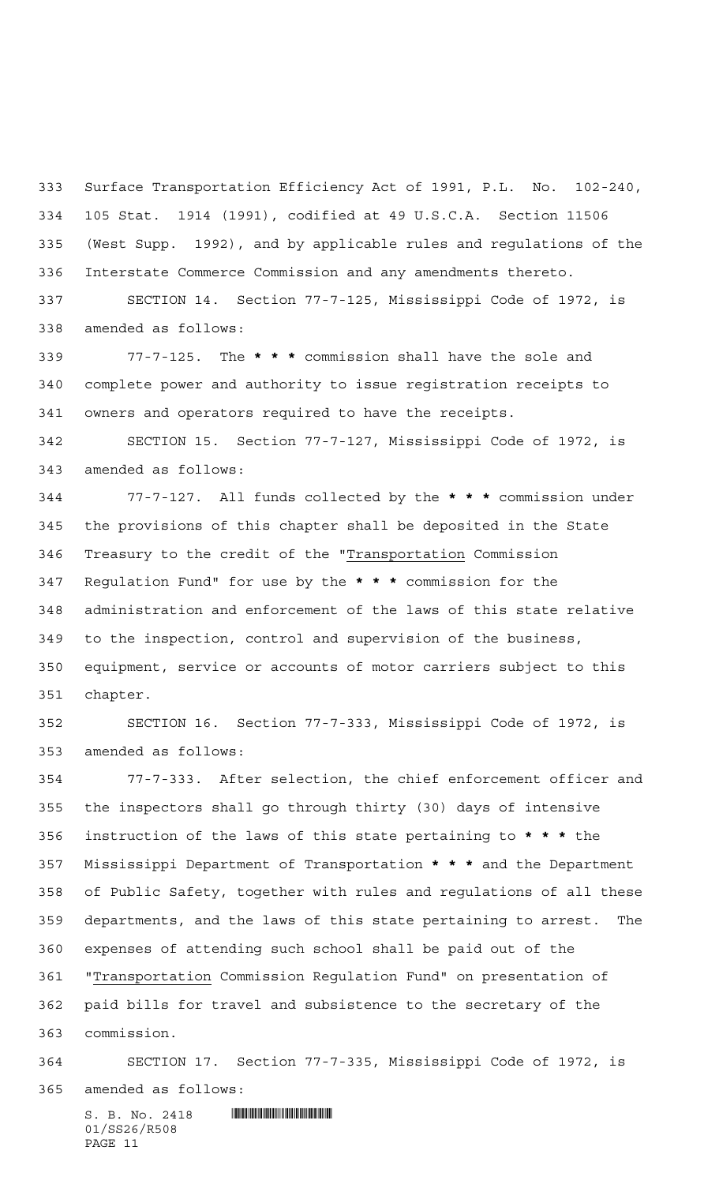Surface Transportation Efficiency Act of 1991, P.L. No. 102-240, 105 Stat. 1914 (1991), codified at 49 U.S.C.A. Section 11506 (West Supp. 1992), and by applicable rules and regulations of the Interstate Commerce Commission and any amendments thereto.

 SECTION 14. Section 77-7-125, Mississippi Code of 1972, is amended as follows:

 77-7-125. The **\*\*\*** commission shall have the sole and complete power and authority to issue registration receipts to owners and operators required to have the receipts.

 SECTION 15. Section 77-7-127, Mississippi Code of 1972, is amended as follows:

 77-7-127. All funds collected by the **\*\*\*** commission under the provisions of this chapter shall be deposited in the State Treasury to the credit of the "Transportation Commission Regulation Fund" for use by the **\*\*\*** commission for the administration and enforcement of the laws of this state relative to the inspection, control and supervision of the business, equipment, service or accounts of motor carriers subject to this chapter.

 SECTION 16. Section 77-7-333, Mississippi Code of 1972, is amended as follows:

 77-7-333. After selection, the chief enforcement officer and the inspectors shall go through thirty (30) days of intensive instruction of the laws of this state pertaining to **\*\*\*** the Mississippi Department of Transportation **\*\*\*** and the Department of Public Safety, together with rules and regulations of all these departments, and the laws of this state pertaining to arrest. The expenses of attending such school shall be paid out of the "Transportation Commission Regulation Fund" on presentation of paid bills for travel and subsistence to the secretary of the commission.

## SECTION 17. Section 77-7-335, Mississippi Code of 1972, is amended as follows: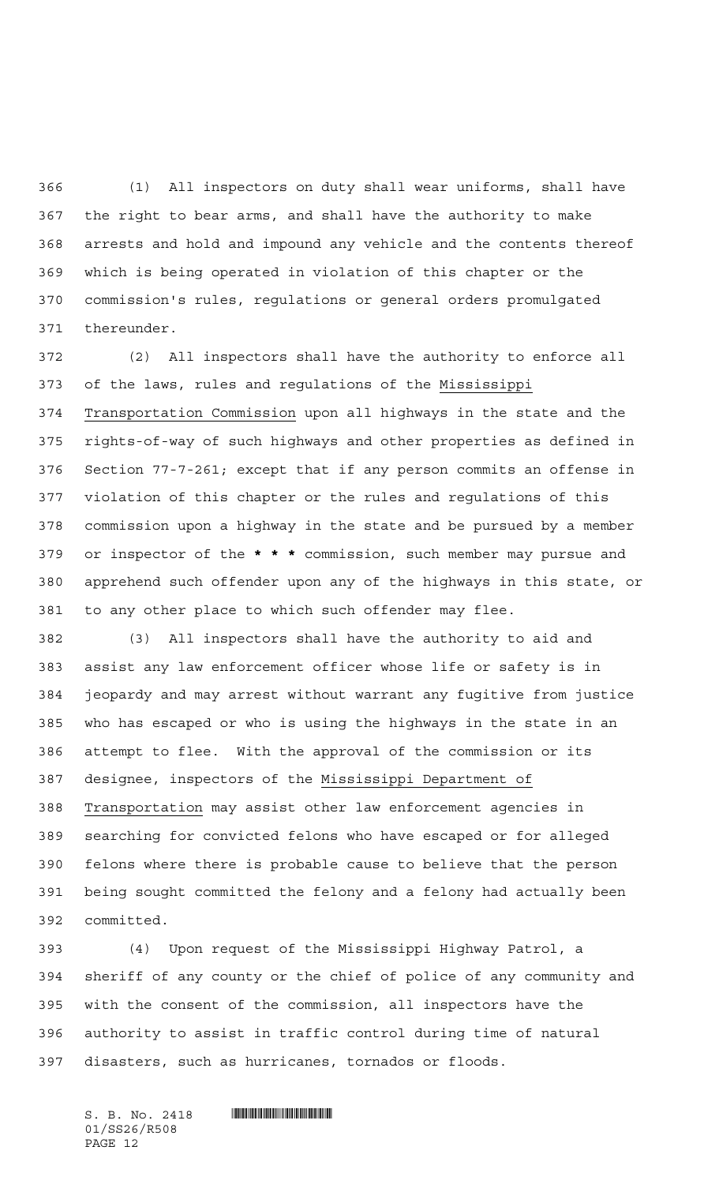(1) All inspectors on duty shall wear uniforms, shall have the right to bear arms, and shall have the authority to make arrests and hold and impound any vehicle and the contents thereof which is being operated in violation of this chapter or the commission's rules, regulations or general orders promulgated thereunder.

 (2) All inspectors shall have the authority to enforce all of the laws, rules and regulations of the Mississippi Transportation Commission upon all highways in the state and the rights-of-way of such highways and other properties as defined in Section 77-7-261; except that if any person commits an offense in violation of this chapter or the rules and regulations of this commission upon a highway in the state and be pursued by a member or inspector of the **\*\*\*** commission, such member may pursue and apprehend such offender upon any of the highways in this state, or to any other place to which such offender may flee.

 (3) All inspectors shall have the authority to aid and assist any law enforcement officer whose life or safety is in jeopardy and may arrest without warrant any fugitive from justice who has escaped or who is using the highways in the state in an attempt to flee. With the approval of the commission or its designee, inspectors of the Mississippi Department of Transportation may assist other law enforcement agencies in searching for convicted felons who have escaped or for alleged felons where there is probable cause to believe that the person being sought committed the felony and a felony had actually been committed.

 (4) Upon request of the Mississippi Highway Patrol, a sheriff of any county or the chief of police of any community and with the consent of the commission, all inspectors have the authority to assist in traffic control during time of natural disasters, such as hurricanes, tornados or floods.

 $S. B. No. 2418$  . The set of  $\mathbb{R}$  of  $\mathbb{R}$  substitution of  $S. B. N_{\mathbb{R}}$ 01/SS26/R508 PAGE 12